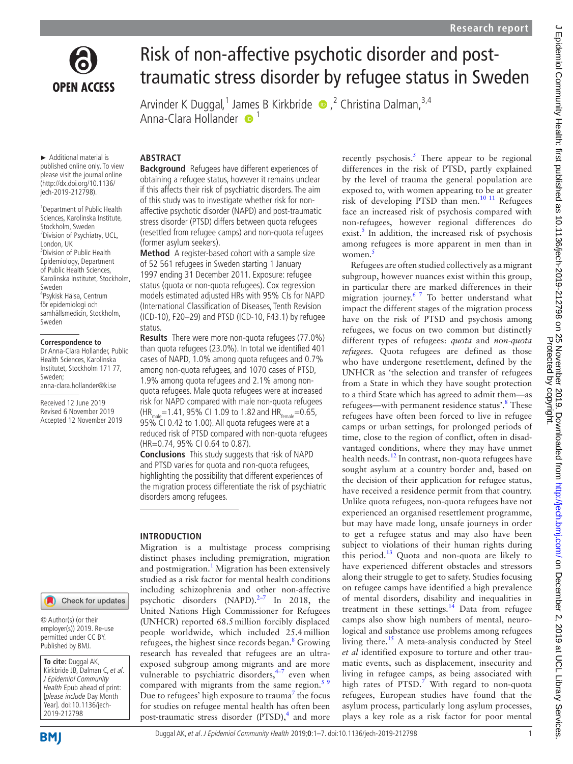

# Risk of non-affective psychotic disorder and posttraumatic stress disorder by refugee status in Sweden

Arvinder K Duggal,<sup>1</sup> Ja[me](http://orcid.org/0000-0002-1246-5804)s B Kirkbride (D, <sup>2</sup> Christina Dalman,<sup>3,4</sup> Anna-Clara Hollander <sup>1</sup>

► Additional material is published online only. To view please visit the journal online (http://dx.doi.org/10.1136/ jech-2019-212798).

1 Department of Public Health Sciences, Karolinska Institute, Stockholm, Sweden <sup>2</sup> Division of Psychiatry, UCL, London, UK <sup>3</sup> Division of Public Health Epidemiology, Department of Public Health Sciences, Karolinska Institutet, Stockholm, Sweden 4 Psykisk Hälsa, Centrum för epidemiologi och samhällsmedicin, Stockholm, Sweden

#### **Correspondence to**

Dr Anna-Clara Hollander, Public Health Sciences, Karolinska Institutet, Stockholm 171 77, Sweden; anna-clara.hollander@ki.se

Received 12 June 2019 Revised 6 November 2019 Accepted 12 November 2019



© Author(s) (or their employer(s)) 2019. Re-use permitted under CC BY. Published by BMJ.

**To cite:** Duggal AK, Kirkbride JB, Dalman C, et al. J Epidemiol Community Health Epub ahead of print: [please include Day Month Year]. doi:10.1136/jech-2019-212798

# **Abstract**

**Background** Refugees have different experiences of obtaining a refugee status, however it remains unclear if this affects their risk of psychiatric disorders. The aim of this study was to investigate whether risk for nonaffective psychotic disorder (NAPD) and post-traumatic stress disorder (PTSD) differs between quota refugees (resettled from refugee camps) and non-quota refugees (former asylum seekers).

**Method** A register-based cohort with a sample size of 52 561 refugees in Sweden starting 1 January 1997 ending 31 December 2011. Exposure: refugee status (quota or non-quota refugees). Cox regression models estimated adjusted HRs with 95% CIs for NAPD (International Classification of Diseases, Tenth Revision (ICD-10), F20–29) and PTSD (ICD-10, F43.1) by refugee status.

**Results** There were more non-quota refugees (77.0%) than quota refugees (23.0%). In total we identified 401 cases of NAPD, 1.0% among quota refugees and 0.7% among non-quota refugees, and 1070 cases of PTSD, 1.9% among quota refugees and 2.1% among nonquota refugees. Male quota refugees were at increased risk for NAPD compared with male non-quota refugees  $(HR_{malo} = 1.41, 95\% \text{ CI } 1.09 \text{ to } 1.82 \text{ and } HR_{f_{femalo}} = 0.65,$ 95% CI 0.42 to 1.00). All quota refugees were at a reduced risk of PTSD compared with non-quota refugees (HR=0.74, 95% CI 0.64 to 0.87).

**Conclusions** This study suggests that risk of NAPD and PTSD varies for quota and non-quota refugees, highlighting the possibility that different experiences of the migration process differentiate the risk of psychiatric disorders among refugees.

## **Introduction**

Migration is a multistage process comprising distinct phases including premigration, migration and postmigration.<sup>[1](#page-5-0)</sup> Migration has been extensively studied as a risk factor for mental health conditions including schizophrenia and other non-affective psychotic disorders (NAPD).<sup>2-7</sup> In 2018, the United Nations High Commissioner for Refugees (UNHCR) reported 68.5million forcibly displaced people worldwide, which included 25.4million refugees, the highest since records began.<sup>8</sup> Growing research has revealed that refugees are an ultraexposed subgroup among migrants and are more vulnerable to psychiatric disorders, $4-7$  even when compared with migrants from the same region. $5<sup>9</sup>$ Due to refugees' high exposure to trauma<sup>7</sup> the focus for studies on refugee mental health has often been post-traumatic stress disorder (PTSD),<sup>4</sup> and more recently psychosis. $5$  There appear to be regional differences in the risk of PTSD, partly explained by the level of trauma the general population are exposed to, with women appearing to be at greater risk of developing PTSD than men.[10 11](#page-5-6) Refugees face an increased risk of psychosis compared with non-refugees, however regional differences do exist. $5$  In addition, the increased risk of psychosis among refugees is more apparent in men than in women.<sup>[5](#page-5-4)</sup>

Refugees are often studied collectively as a migrant subgroup, however nuances exist within this group, in particular there are marked differences in their migration journey.<sup>6 7</sup> To better understand what impact the different stages of the migration process have on the risk of PTSD and psychosis among refugees, we focus on two common but distinctly different types of refugees: *quota* and *non-quota refugees*. Quota refugees are defined as those who have undergone resettlement, defined by the UNHCR as 'the selection and transfer of refugees from a State in which they have sought protection to a third State which has agreed to admit them—as refugees—with permanent residence status'.<sup>[8](#page-5-2)</sup> These refugees have often been forced to live in refugee camps or urban settings, for prolonged periods of time, close to the region of conflict, often in disadvantaged conditions, where they may have unmet health needs.<sup>[12](#page-5-8)</sup> In contrast, non-quota refugees have sought asylum at a country border and, based on the decision of their application for refugee status, have received a residence permit from that country. Unlike quota refugees, non-quota refugees have not experienced an organised resettlement programme, but may have made long, unsafe journeys in order to get a refugee status and may also have been subject to violations of their human rights during this period. $13$  Quota and non-quota are likely to have experienced different obstacles and stressors along their struggle to get to safety. Studies focusing on refugee camps have identified a high prevalence of mental disorders, disability and inequalities in treatment in these settings.<sup>14</sup> Data from refugee camps also show high numbers of mental, neurological and substance use problems among refugees living there.<sup>15</sup> A meta-analysis conducted by Steel *et al* identified exposure to torture and other traumatic events, such as displacement, insecurity and living in refugee camps, as being associated with high rates of  $PTSD.<sup>7</sup>$  $PTSD.<sup>7</sup>$  $PTSD.<sup>7</sup>$  With regard to non-quota refugees, European studies have found that the asylum process, particularly long asylum processes, plays a key role as a risk factor for poor mental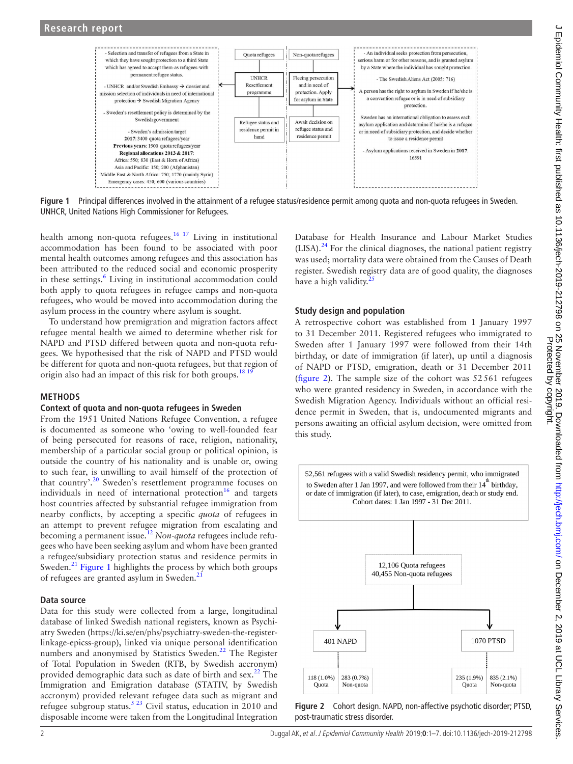

<span id="page-1-0"></span>**Figure 1** Principal differences involved in the attainment of a refugee status/residence permit among quota and non-quota refugees in Sweden. UNHCR, United Nations High Commissioner for Refugees.

health among non-quota refugees.<sup>16 17</sup> Living in institutional accommodation has been found to be associated with poor mental health outcomes among refugees and this association has been attributed to the reduced social and economic prosperity in these settings.<sup>6</sup> Living in institutional accommodation could both apply to quota refugees in refugee camps and non-quota refugees, who would be moved into accommodation during the asylum process in the country where asylum is sought.

To understand how premigration and migration factors affect refugee mental health we aimed to determine whether risk for NAPD and PTSD differed between quota and non-quota refugees. We hypothesised that the risk of NAPD and PTSD would be different for quota and non-quota refugees, but that region of origin also had an impact of this risk for both groups.<sup>181</sup>

## **Methods**

## **Context of quota and non-quota refugees in Sweden**

From the 1951 United Nations Refugee Convention, a refugee is documented as someone who 'owing to well-founded fear of being persecuted for reasons of race, religion, nationality, membership of a particular social group or political opinion, is outside the country of his nationality and is unable or, owing to such fear, is unwilling to avail himself of the protection of that country'[.20](#page-5-14) Sweden's resettlement programme focuses on individuals in need of international protection $16$  and targets host countries affected by substantial refugee immigration from nearby conflicts, by accepting a specific *quota* of refugees in an attempt to prevent refugee migration from escalating and becoming a permanent issue.[12](#page-5-8) *Non-quota* refugees include refugees who have been seeking asylum and whom have been granted a refugee/subsidiary protection status and residence permits in Sweden.<sup>21</sup> [Figure](#page-1-0) 1 highlights the process by which both groups of refugees are granted asylum in Sweden.<sup>21</sup>

## **Data source**

Data for this study were collected from a large, longitudinal database of linked Swedish national registers, known as Psychiatry Sweden ([https://ki.se/en/phs/psychiatry-sweden-the-register](https://ki.se/en/phs/psychiatry-sweden-the-register-linkage-epicss-group)[linkage-epicss-group\)](https://ki.se/en/phs/psychiatry-sweden-the-register-linkage-epicss-group), linked via unique personal identification numbers and anonymised by Statistics Sweden.<sup>22</sup> The Register of Total Population in Sweden (RTB, by Swedish accronym) provided demographic data such as date of birth and  $sex.^{22}$  The Immigration and Emigration database (STATIV, by Swedish accronym) provided relevant refugee data such as migrant and refugee subgroup status.<sup>[5 23](#page-5-4)</sup> Civil status, education in 2010 and disposable income were taken from the Longitudinal Integration

Database for Health Insurance and Labour Market Studies  $(LISA).<sup>24</sup>$  For the clinical diagnoses, the national patient registry was used; mortality data were obtained from the Causes of Death register. Swedish registry data are of good quality, the diagnoses have a high validity. $25$ 

## **Study design and population**

A retrospective cohort was established from 1 January 1997 to 31 December 2011. Registered refugees who immigrated to Sweden after 1 January 1997 were followed from their 14th birthday, or date of immigration (if later), up until a diagnosis of NAPD or PTSD, emigration, death or 31 December 2011 ([figure](#page-1-1) 2). The sample size of the cohort was 52561 refugees who were granted residency in Sweden, in accordance with the Swedish Migration Agency. Individuals without an official residence permit in Sweden, that is, undocumented migrants and persons awaiting an official asylum decision, were omitted from this study.

52,561 refugees with a valid Swedish residency permit, who immigrated



<span id="page-1-1"></span>**Figure 2** Cohort design. NAPD, non-affective psychotic disorder; PTSD, post-traumatic stress disorder.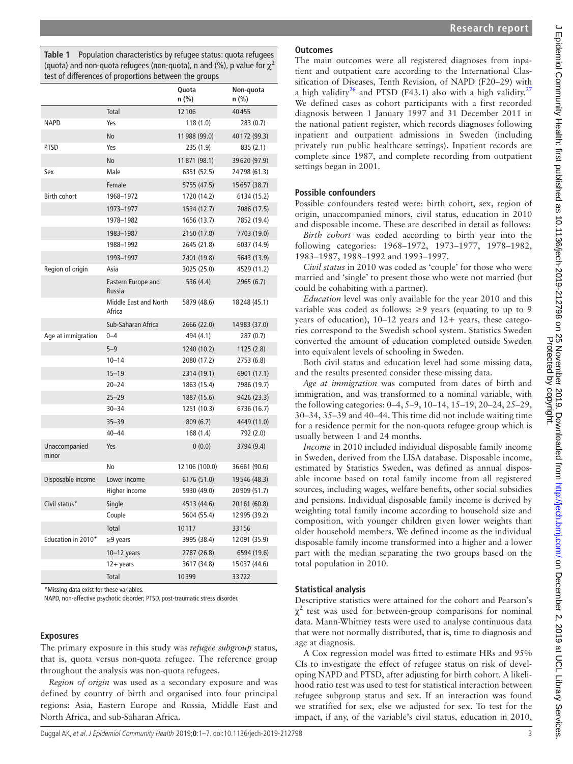<span id="page-2-0"></span>

|                        |                                        | - ວ. -         |                    |
|------------------------|----------------------------------------|----------------|--------------------|
|                        |                                        | Quota<br>n (%) | Non-quota<br>n (%) |
|                        | Total                                  | 12106          | 40455              |
| <b>NAPD</b>            | Yes                                    | 118(1.0)       | 283(0.7)           |
|                        | No                                     | 11988 (99.0)   | 40172 (99.3)       |
| <b>PTSD</b>            | Yes                                    | 235 (1.9)      | 835 (2.1)          |
|                        | No                                     | 11871 (98.1)   | 39620 (97.9)       |
| Sex                    | Male                                   | 6351 (52.5)    | 24798 (61.3)       |
|                        | Female                                 | 5755 (47.5)    | 15657 (38.7)       |
| <b>Birth cohort</b>    | 1968-1972                              | 1720 (14.2)    | 6134 (15.2)        |
|                        | 1973-1977                              | 1534 (12.7)    | 7086 (17.5)        |
|                        | 1978-1982                              | 1656 (13.7)    | 7852 (19.4)        |
|                        | 1983-1987                              | 2150 (17.8)    | 7703 (19.0)        |
|                        | 1988-1992                              | 2645 (21.8)    | 6037 (14.9)        |
|                        | 1993-1997                              | 2401 (19.8)    | 5643 (13.9)        |
| Region of origin       | Asia                                   | 3025 (25.0)    | 4529 (11.2)        |
|                        | Eastern Europe and<br>Russia           | 536 (4.4)      | 2965 (6.7)         |
|                        | <b>Middle East and North</b><br>Africa | 5879 (48.6)    | 18248 (45.1)       |
|                        | Sub-Saharan Africa                     | 2666 (22.0)    | 14983 (37.0)       |
| Age at immigration     | $0 - 4$                                | 494 (4.1)      | 287 (0.7)          |
|                        | $5 - 9$                                | 1240 (10.2)    | 1125(2.8)          |
|                        | $10 - 14$                              | 2080 (17.2)    | 2753 (6.8)         |
|                        | $15 - 19$                              | 2314 (19.1)    | 6901 (17.1)        |
|                        | $20 - 24$                              | 1863 (15.4)    | 7986 (19.7)        |
|                        | $25 - 29$                              | 1887 (15.6)    | 9426 (23.3)        |
|                        | $30 - 34$                              | 1251 (10.3)    | 6736 (16.7)        |
|                        | $35 - 39$                              | 809(6.7)       | 4449 (11.0)        |
|                        | $40 - 44$                              | 168(1.4)       | 792 (2.0)          |
| Unaccompanied<br>minor | Yes                                    | 0(0.0)         | 3794 (9.4)         |
|                        | No                                     | 12 106 (100.0) | 36 661 (90.6)      |
| Disposable income      | Lower income                           | 6176 (51.0)    | 19546 (48.3)       |
|                        | Higher income                          | 5930 (49.0)    | 20909 (51.7)       |
| Civil status*          | Single                                 | 4513 (44.6)    | 20161 (60.8)       |
|                        | Couple                                 | 5604 (55.4)    | 12 995 (39.2)      |
|                        | Total                                  | 10117          | 33156              |
| Education in 2010*     | $\geq$ 9 years                         | 3995 (38.4)    | 12 091 (35.9)      |
|                        | $10-12$ years                          | 2787 (26.8)    | 6594 (19.6)        |
|                        | $12 + years$                           | 3617 (34.8)    | 15 037 (44.6)      |
|                        | Total                                  | 10399          | 33722              |

\*Missing data exist for these variables.

NAPD, non-affective psychotic disorder; PTSD, post-traumatic stress disorder.

## **Exposures**

The primary exposure in this study was *refugee subgroup* status, that is, quota versus non-quota refugee. The reference group throughout the analysis was non-quota refugees.

*Region of origin* was used as a secondary exposure and was defined by country of birth and organised into four principal regions: Asia, Eastern Europe and Russia, Middle East and North Africa, and sub-Saharan Africa.

# **Outcomes**

The main outcomes were all registered diagnoses from inpatient and outpatient care according to the International Classification of Diseases, Tenth Revision, of NAPD (F20–29) with a high validity<sup>26</sup> and PTSD (F43.1) also with a high validity.<sup>[27](#page-5-20)</sup> We defined cases as cohort participants with a first recorded diagnosis between 1 January 1997 and 31 December 2011 in the national patient register, which records diagnoses following inpatient and outpatient admissions in Sweden (including privately run public healthcare settings). Inpatient records are complete since 1987, and complete recording from outpatient settings began in 2001.

## **Possible confounders**

Possible confounders tested were: birth cohort, sex, region of origin, unaccompanied minors, civil status, education in 2010 and disposable income. These are described in detail as follows:

*Birth cohort* was coded according to birth year into the following categories: 1968–1972, 1973–1977, 1978–1982, 1983–1987, 1988–1992 and 1993–1997.

*Civil status* in 2010 was coded as 'couple' for those who were married and 'single' to present those who were not married (but could be cohabiting with a partner).

*Education* level was only available for the year 2010 and this variable was coded as follows: ≥9 years (equating to up to 9 years of education),  $10-12$  years and  $12+$  years, these categories correspond to the Swedish school system. Statistics Sweden converted the amount of education completed outside Sweden into equivalent levels of schooling in Sweden.

Both civil status and education level had some missing data, and the results presented consider these missing data.

*Age at immigration* was computed from dates of birth and immigration, and was transformed to a nominal variable, with the following categories: 0–4, 5–9, 10–14, 15–19, 20–24, 25–29, 30–34, 35–39 and 40–44. This time did not include waiting time for a residence permit for the non-quota refugee group which is usually between 1 and 24 months.

*Income* in 2010 included individual disposable family income in Sweden, derived from the LISA database. Disposable income, estimated by Statistics Sweden, was defined as annual disposable income based on total family income from all registered sources, including wages, welfare benefits, other social subsidies and pensions. Individual disposable family income is derived by weighting total family income according to household size and composition, with younger children given lower weights than older household members. We defined income as the individual disposable family income transformed into a higher and a lower part with the median separating the two groups based on the total population in 2010.

## **Statistical analysis**

Descriptive statistics were attained for the cohort and Pearson's  $\chi^2$  test was used for between-group comparisons for nominal data. Mann-Whitney tests were used to analyse continuous data that were not normally distributed, that is, time to diagnosis and age at diagnosis.

A Cox regression model was fitted to estimate HRs and 95% CIs to investigate the effect of refugee status on risk of developing NAPD and PTSD, after adjusting for birth cohort. A likelihood ratio test was used to test for statistical interaction between refugee subgroup status and sex. If an interaction was found we stratified for sex, else we adjusted for sex. To test for the impact, if any, of the variable's civil status, education in 2010,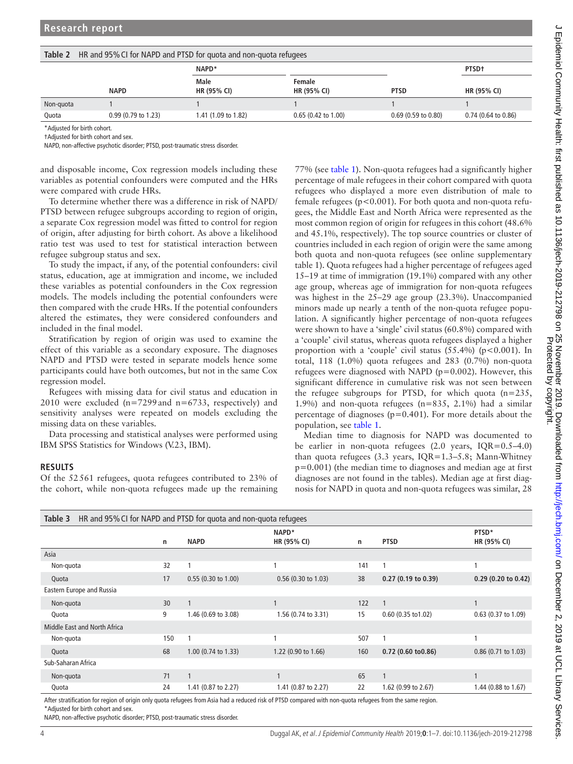<span id="page-3-0"></span>

| Table 2<br>HR and 95% CI for NAPD and PTSD for quota and non-quota refugees |                               |                     |                              |                       |                       |  |  |  |  |
|-----------------------------------------------------------------------------|-------------------------------|---------------------|------------------------------|-----------------------|-----------------------|--|--|--|--|
|                                                                             |                               | NAPD*               |                              |                       | PTSD <sup>+</sup>     |  |  |  |  |
|                                                                             | <b>NAPD</b>                   | Male<br>HR (95% CI) | Female<br><b>HR (95% CI)</b> | <b>PTSD</b>           | HR (95% CI)           |  |  |  |  |
| Non-guota                                                                   |                               |                     |                              |                       |                       |  |  |  |  |
| Quota                                                                       | $0.99(0.79 \text{ to } 1.23)$ | 1.41 (1.09 to 1.82) | $0.65$ (0.42 to 1.00)        | $0.69$ (0.59 to 0.80) | $0.74$ (0.64 to 0.86) |  |  |  |  |

\*Adjusted for birth cohort.

†Adjusted for birth cohort and sex.

NAPD, non-affective psychotic disorder; PTSD, post-traumatic stress disorder.

and disposable income, Cox regression models including these variables as potential confounders were computed and the HRs were compared with crude HRs.

To determine whether there was a difference in risk of NAPD/ PTSD between refugee subgroups according to region of origin, a separate Cox regression model was fitted to control for region of origin, after adjusting for birth cohort. As above a likelihood ratio test was used to test for statistical interaction between refugee subgroup status and sex.

To study the impact, if any, of the potential confounders: civil status, education, age at immigration and income, we included these variables as potential confounders in the Cox regression models. The models including the potential confounders were then compared with the crude HRs. If the potential confounders altered the estimates, they were considered confounders and included in the final model.

Stratification by region of origin was used to examine the effect of this variable as a secondary exposure. The diagnoses NAPD and PTSD were tested in separate models hence some participants could have both outcomes, but not in the same Cox regression model.

Refugees with missing data for civil status and education in 2010 were excluded  $(n=7299$  and  $n=6733$ , respectively) and sensitivity analyses were repeated on models excluding the missing data on these variables.

Data processing and statistical analyses were performed using IBM SPSS Statistics for Windows (V.23, IBM).

## **Results**

Of the 52561 refugees, quota refugees contributed to 23% of the cohort, while non-quota refugees made up the remaining 77% (see [table](#page-2-0) 1). Non-quota refugees had a significantly higher percentage of male refugees in their cohort compared with quota refugees who displayed a more even distribution of male to female refugees ( $p < 0.001$ ). For both quota and non-quota refugees, the Middle East and North Africa were represented as the most common region of origin for refugees in this cohort (48.6% and 45.1%, respectively). The top source countries or cluster of countries included in each region of origin were the same among both quota and non-quota refugees (see [online supplementary](https://dx.doi.org/10.1136/jech-2019-212798) [table 1](https://dx.doi.org/10.1136/jech-2019-212798)). Quota refugees had a higher percentage of refugees aged 15–19 at time of immigration (19.1%) compared with any other age group, whereas age of immigration for non-quota refugees was highest in the 25–29 age group (23.3%). Unaccompanied minors made up nearly a tenth of the non-quota refugee population. A significantly higher percentage of non-quota refugees were shown to have a 'single' civil status (60.8%) compared with a 'couple' civil status, whereas quota refugees displayed a higher proportion with a 'couple' civil status  $(55.4\%)$  (p<0.001). In total, 118 (1.0%) quota refugees and 283 (0.7%) non-quota refugees were diagnosed with NAPD ( $p=0.002$ ). However, this significant difference in cumulative risk was not seen between the refugee subgroups for PTSD, for which quota (n=235, 1.9%) and non-quota refugees (n=835, 2.1%) had a similar percentage of diagnoses ( $p=0.401$ ). For more details about the population, see [table](#page-2-0) 1.

Median time to diagnosis for NAPD was documented to be earlier in non-quota refugees (2.0 years, IQR=0.5–4.0) than quota refugees (3.3 years, IQR=1.3–5.8; Mann-Whitney p=0.001) (the median time to diagnoses and median age at first diagnoses are not found in the tables). Median age at first diagnosis for NAPD in quota and non-quota refugees was similar, 28

<span id="page-3-1"></span>

| HR and 95% CI for NAPD and PTSD for quota and non-quota refugees<br>Table 3 |     |                                                                                                                 |                       |     |                                                  |                       |  |  |  |
|-----------------------------------------------------------------------------|-----|-----------------------------------------------------------------------------------------------------------------|-----------------------|-----|--------------------------------------------------|-----------------------|--|--|--|
|                                                                             | n   | <b>NAPD</b>                                                                                                     | NAPD*<br>HR (95% CI)  | n   | <b>PTSD</b>                                      | PTSD*<br>HR (95% CI)  |  |  |  |
| Asia                                                                        |     |                                                                                                                 |                       |     |                                                  |                       |  |  |  |
| Non-quota                                                                   | 32  |                                                                                                                 |                       | 141 |                                                  |                       |  |  |  |
| Quota                                                                       | 17  | $0.55(0.30 \text{ to } 1.00)$                                                                                   | $0.56$ (0.30 to 1.03) | 38  | $0.27(0.19 \text{ to } 0.39)$                    | $0.29$ (0.20 to 0.42) |  |  |  |
| Eastern Europe and Russia                                                   |     |                                                                                                                 |                       |     |                                                  |                       |  |  |  |
| Non-quota                                                                   | 30  | 1                                                                                                               |                       | 122 | 1                                                |                       |  |  |  |
| Quota                                                                       | 9   | 1.46 (0.69 to 3.08)                                                                                             | 1.56 (0.74 to 3.31)   | 15  | $0.60$ (0.35 to 1.02)                            | 0.63 (0.37 to 1.09)   |  |  |  |
| Middle East and North Africa                                                |     |                                                                                                                 |                       |     |                                                  |                       |  |  |  |
| Non-quota                                                                   | 150 |                                                                                                                 |                       | 507 |                                                  |                       |  |  |  |
| Quota                                                                       | 68  | $1.00$ (0.74 to 1.33)                                                                                           | 1.22 (0.90 to 1.66)   | 160 | $0.72$ (0.60 to $0.86$ )                         | 0.86 (0.71 to 1.03)   |  |  |  |
| Sub-Saharan Africa                                                          |     |                                                                                                                 |                       |     |                                                  |                       |  |  |  |
| Non-quota                                                                   | 71  | $\mathbf{1}$                                                                                                    |                       | 65  |                                                  |                       |  |  |  |
| Quota                                                                       | 24  | 1.41 (0.87 to 2.27)                                                                                             | 1.41 (0.87 to 2.27)   | 22  | 1.62 (0.99 to 2.67)                              | 1.44 (0.88 to 1.67)   |  |  |  |
| .                                                                           |     | the contract of the contract of the contract of the contract of the contract of the contract of the contract of |                       |     | $\sim$ $\sim$ $\sim$ $\sim$ $\sim$ $\sim$ $\sim$ |                       |  |  |  |

After stratification for region of origin only quota refugees from Asia had a reduced risk of PTSD compared with non-quota refugees from the same region. \*Adjusted for birth cohort and sex.

NAPD, non-affective psychotic disorder; PTSD, post-traumatic stress disorder.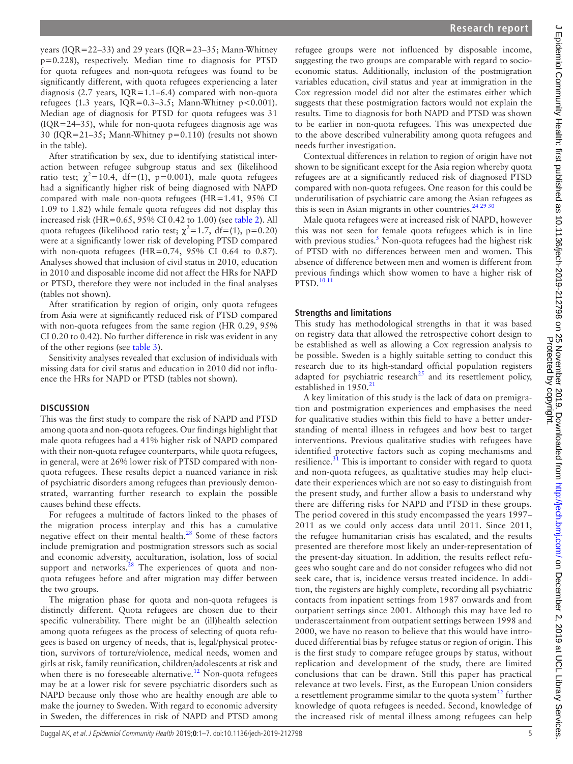years (IQR=22–33) and 29 years (IQR=23–35; Mann-Whitney p=0.228), respectively. Median time to diagnosis for PTSD for quota refugees and non-quota refugees was found to be significantly different, with quota refugees experiencing a later diagnosis (2.7 years, IQR=1.1–6.4) compared with non-quota refugees (1.3 years,  $IQR=0.3-3.5$ ; Mann-Whitney p<0.001). Median age of diagnosis for PTSD for quota refugees was 31 (IQR=24–35), while for non-quota refugees diagnosis age was 30 (IQR=21–35; Mann-Whitney p=0.110) (results not shown in the table).

After stratification by sex, due to identifying statistical interaction between refugee subgroup status and sex (likelihood ratio test;  $\chi^2$ =10.4, df=(1), p=0.001), male quota refugees had a significantly higher risk of being diagnosed with NAPD compared with male non-quota refugees (HR=1.41, 95% CI 1.09 to 1.82) while female quota refugees did not display this increased risk (HR=0.65, 95% CI 0.42 to 1.00) (see [table](#page-3-0) 2). All quota refugees (likelihood ratio test;  $\chi^2$ =1.7, df=(1), p=0.20) were at a significantly lower risk of developing PTSD compared with non-quota refugees (HR=0.74,  $95\%$  CI 0.64 to 0.87). Analyses showed that inclusion of civil status in 2010, education in 2010 and disposable income did not affect the HRs for NAPD or PTSD, therefore they were not included in the final analyses (tables not shown).

After stratification by region of origin, only quota refugees from Asia were at significantly reduced risk of PTSD compared with non-quota refugees from the same region (HR 0.29, 95% CI 0.20 to 0.42). No further difference in risk was evident in any of the other regions (see [table](#page-3-1) 3).

Sensitivity analyses revealed that exclusion of individuals with missing data for civil status and education in 2010 did not influence the HRs for NAPD or PTSD (tables not shown).

## **Discussion**

This was the first study to compare the risk of NAPD and PTSD among quota and non-quota refugees. Our findings highlight that male quota refugees had a 41% higher risk of NAPD compared with their non-quota refugee counterparts, while quota refugees, in general, were at 26% lower risk of PTSD compared with nonquota refugees. These results depict a nuanced variance in risk of psychiatric disorders among refugees than previously demonstrated, warranting further research to explain the possible causes behind these effects.

For refugees a multitude of factors linked to the phases of the migration process interplay and this has a cumulative negative effect on their mental health.<sup>28</sup> Some of these factors include premigration and postmigration stressors such as social and economic adversity, acculturation, isolation, loss of social support and networks. $28$  The experiences of quota and nonquota refugees before and after migration may differ between the two groups.

The migration phase for quota and non-quota refugees is distinctly different. Quota refugees are chosen due to their specific vulnerability. There might be an (ill)health selection among quota refugees as the process of selecting of quota refugees is based on urgency of needs, that is, legal/physical protection, survivors of torture/violence, medical needs, women and girls at risk, family reunification, children/adolescents at risk and when there is no foreseeable alternative.<sup>12</sup> Non-quota refugees may be at a lower risk for severe psychiatric disorders such as NAPD because only those who are healthy enough are able to make the journey to Sweden. With regard to economic adversity in Sweden, the differences in risk of NAPD and PTSD among

refugee groups were not influenced by disposable income, suggesting the two groups are comparable with regard to socioeconomic status. Additionally, inclusion of the postmigration variables education, civil status and year at immigration in the Cox regression model did not alter the estimates either which suggests that these postmigration factors would not explain the results. Time to diagnosis for both NAPD and PTSD was shown to be earlier in non-quota refugees. This was unexpected due to the above described vulnerability among quota refugees and needs further investigation.

Contextual differences in relation to region of origin have not shown to be significant except for the Asia region whereby quota refugees are at a significantly reduced risk of diagnosed PTSD compared with non-quota refugees. One reason for this could be underutilisation of psychiatric care among the Asian refugees as this is seen in Asian migrants in other countries.<sup>[24 29 30](#page-5-17)</sup>

Male quota refugees were at increased risk of NAPD, however this was not seen for female quota refugees which is in line with previous studies.<sup>[5](#page-5-4)</sup> Non-quota refugees had the highest risk of PTSD with no differences between men and women. This absence of difference between men and women is different from previous findings which show women to have a higher risk of PTSD.[10 11](#page-5-6)

## **Strengths and limitations**

This study has methodological strengths in that it was based on registry data that allowed the retrospective cohort design to be established as well as allowing a Cox regression analysis to be possible. Sweden is a highly suitable setting to conduct this research due to its high-standard official population registers adapted for psychiatric research<sup>[25](#page-5-18)</sup> and its resettlement policy, established in  $1950.<sup>21</sup>$  $1950.<sup>21</sup>$  $1950.<sup>21</sup>$ 

A key limitation of this study is the lack of data on premigration and postmigration experiences and emphasises the need for qualitative studies within this field to have a better understanding of mental illness in refugees and how best to target interventions. Previous qualitative studies with refugees have identified protective factors such as coping mechanisms and resilience.<sup>31</sup> This is important to consider with regard to quota and non-quota refugees, as qualitative studies may help elucidate their experiences which are not so easy to distinguish from the present study, and further allow a basis to understand why there are differing risks for NAPD and PTSD in these groups. The period covered in this study encompassed the years 1997– 2011 as we could only access data until 2011. Since 2011, the refugee humanitarian crisis has escalated, and the results presented are therefore most likely an under-representation of the present-day situation. In addition, the results reflect refugees who sought care and do not consider refugees who did not seek care, that is, incidence versus treated incidence. In addition, the registers are highly complete, recording all psychiatric contacts from inpatient settings from 1987 onwards and from outpatient settings since 2001. Although this may have led to underascertainment from outpatient settings between 1998 and 2000, we have no reason to believe that this would have introduced differential bias by refugee status or region of origin. This is the first study to compare refugee groups by status, without replication and development of the study, there are limited conclusions that can be drawn. Still this paper has practical relevance at two levels. First, as the European Union considers a resettlement programme similar to the quota system $32$  further knowledge of quota refugees is needed. Second, knowledge of the increased risk of mental illness among refugees can help

Protected by copyright.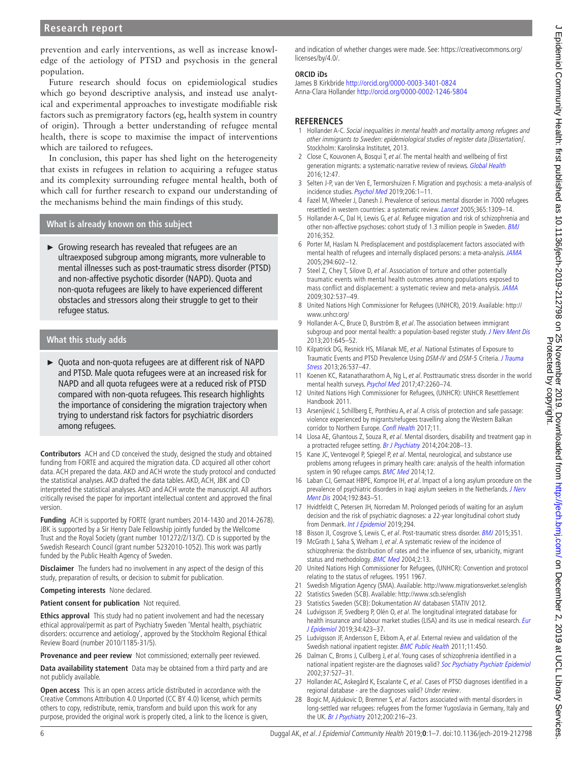prevention and early interventions, as well as increase knowledge of the aetiology of PTSD and psychosis in the general population.

Future research should focus on epidemiological studies which go beyond descriptive analysis, and instead use analytical and experimental approaches to investigate modifiable risk factors such as premigratory factors (eg, health system in country of origin). Through a better understanding of refugee mental health, there is scope to maximise the impact of interventions which are tailored to refugees.

In conclusion, this paper has shed light on the heterogeneity that exists in refugees in relation to acquiring a refugee status and its complexity surrounding refugee mental health, both of which call for further research to expand our understanding of the mechanisms behind the main findings of this study.

### **What is already known on this subject**

► Growing research has revealed that refugees are an ultraexposed subgroup among migrants, more vulnerable to mental illnesses such as post-traumatic stress disorder (PTSD) and non-affective psychotic disorder (NAPD). Quota and non-quota refugees are likely to have experienced different obstacles and stressors along their struggle to get to their refugee status.

## **What this study adds**

► Quota and non-quota refugees are at different risk of NAPD and PTSD. Male quota refugees were at an increased risk for NAPD and all quota refugees were at a reduced risk of PTSD compared with non-quota refugees. This research highlights the importance of considering the migration trajectory when trying to understand risk factors for psychiatric disorders among refugees.

**Contributors** ACH and CD conceived the study, designed the study and obtained funding from FORTE and acquired the migration data. CD acquired all other cohort data. ACH prepared the data. AKD and ACH wrote the study protocol and conducted the statistical analyses. AKD drafted the data tables. AKD, ACH, JBK and CD interpreted the statistical analyses. AKD and ACH wrote the manuscript. All authors critically revised the paper for important intellectual content and approved the final version.

**Funding** ACH is supported by FORTE (grant numbers 2014-1430 and 2014-2678). JBK is supported by a Sir Henry Dale Fellowship jointly funded by the Wellcome Trust and the Royal Society (grant number 101272/Z/13/Z). CD is supported by the Swedish Research Council (grant number 5232010-1052). This work was partly funded by the Public Health Agency of Sweden.

**Disclaimer** The funders had no involvement in any aspect of the design of this study, preparation of results, or decision to submit for publication.

**Competing interests** None declared.

#### **Patient consent for publication** Not required.

**Ethics approval** This study had no patient involvement and had the necessary ethical approval/permit as part of Psychiatry Sweden 'Mental health, psychiatric disorders: occurrence and aetiology', approved by the Stockholm Regional Ethical Review Board (number 2010/1185-31/5).

**Provenance and peer review** Not commissioned; externally peer reviewed.

**Data availability statement** Data may be obtained from a third party and are not publicly available.

**Open access** This is an open access article distributed in accordance with the Creative Commons Attribution 4.0 Unported (CC BY 4.0) license, which permits others to copy, redistribute, remix, transform and build upon this work for any purpose, provided the original work is properly cited, a link to the licence is given,

and indication of whether changes were made. See: [https://creativecommons.org/](https://creativecommons.org/licenses/by/4.0/) [licenses/by/4.0/.](https://creativecommons.org/licenses/by/4.0/)

### **ORCID iDs**

James B Kirkbride <http://orcid.org/0000-0003-3401-0824> Anna-Clara Hollander<http://orcid.org/0000-0002-1246-5804>

## **References**

- <span id="page-5-0"></span>1 Hollander A-C. Social inequalities in mental health and mortality among refugees and other immigrants to Sweden: epidemiological studies of register data [Dissertation]. Stockholm: Karolinska Institutet, 2013.
- <span id="page-5-1"></span>2 Close C, Kouvonen A, Bosqui T, et al. The mental health and wellbeing of first generation migrants: a systematic-narrative review of reviews. [Global Health](http://dx.doi.org/10.1186/s12992-016-0187-3) 2016;12:47.
- 3 Selten J-P, van der Ven E, Termorshuizen F. Migration and psychosis: a meta-analysis of incidence studies. [Psychol Med](http://dx.doi.org/10.1017/S0033291719000035) 2019:206:1-11.
- <span id="page-5-3"></span>4 Fazel M, Wheeler J, Danesh J. Prevalence of serious mental disorder in 7000 refugees resettled in western countries: a systematic review. *[Lancet](http://dx.doi.org/10.1016/S0140-6736(05)61027-6)* 2005;365:1309-14.
- <span id="page-5-4"></span>5 Hollander A-C, Dal H, Lewis G, et al. Refugee migration and risk of schizophrenia and other non-affective psychoses: cohort study of 1.3 million people in Sweden. **[BMJ](http://dx.doi.org/10.1136/bmj.i1030)** 2016;352.
- <span id="page-5-7"></span>6 Porter M, Haslam N. Predisplacement and postdisplacement factors associated with mental health of refugees and internally displaced persons: a meta-analysis. [JAMA](http://dx.doi.org/10.1001/jama.294.5.602) 2005;294:602–12.
- <span id="page-5-5"></span>7 Steel Z, Chey T, Silove D, et al. Association of torture and other potentially traumatic events with mental health outcomes among populations exposed to mass conflict and displacement: a systematic review and meta-analysis. [JAMA](http://dx.doi.org/10.1001/jama.2009.1132) 2009;302:537–49.
- <span id="page-5-2"></span>8 United Nations High Commissioner for Refugees (UNHCR), 2019. Available: [http://](http://www.unhcr.org/) [www.unhcr.org/](http://www.unhcr.org/)
- 9 Hollander A-C, Bruce D, Burström B, et al. The association between immigrant subgroup and poor mental health: a population-based register study. [J Nerv Ment Dis](http://dx.doi.org/10.1097/NMD.0b013e31829dbd64) 2013;201:645–52.
- <span id="page-5-6"></span>10 Kilpatrick DG, Resnick HS, Milanak ME, et al. National Estimates of Exposure to Traumatic Events and PTSD Prevalence Using DSM-IV and DSM-5 Criteria. J Trauma [Stress](http://dx.doi.org/10.1002/jts.21848) 2013;26:537–47.
- 11 Koenen KC, Ratanatharathorn A, Ng L, et al. Posttraumatic stress disorder in the world mental health surveys. [Psychol Med](http://dx.doi.org/10.1017/S0033291717000708) 2017;47:2260–74.
- <span id="page-5-8"></span>12 United Nations High Commissioner for Refugees, (UNHCR): UNHCR Resettlement Handbook 2011.
- <span id="page-5-9"></span>13 Arsenijević J, Schillberg E, Ponthieu A, et al. A crisis of protection and safe passage: violence experienced by migrants/refugees travelling along the Western Balkan corridor to Northern Europe. [Confl Health](http://dx.doi.org/10.1186/s13031-017-0107-z) 2017;11.
- <span id="page-5-10"></span>14 Llosa AE, Ghantous Z, Souza R, et al. Mental disorders, disability and treatment gap in a protracted refugee setting. [Br J Psychiatry](http://dx.doi.org/10.1192/bjp.bp.112.120535) 2014;204:208–13.
- <span id="page-5-11"></span>15 Kane JC, Ventevogel P, Spiegel P, et al. Mental, neurological, and substance use problems among refugees in primary health care: analysis of the health information system in 90 refugee camps. **[BMC Med](http://dx.doi.org/10.1186/s12916-014-0228-9) 2014**;12.
- <span id="page-5-12"></span>16 Laban CJ, Gernaat HBPE, Komproe IH, et al. Impact of a long asylum procedure on the prevalence of psychiatric disorders in Iraqi asylum seekers in the Netherlands. *J Nerv* [Ment Dis](http://dx.doi.org/10.1097/01.nmd.0000146739.26187.15) 2004;192:843–51.
- 17 Hvidtfeldt C, Petersen JH, Norredam M. Prolonged periods of waiting for an asylum decision and the risk of psychiatric diagnoses: a 22-year longitudinal cohort study from Denmark. [Int J Epidemiol](http://dx.doi.org/10.1093/ije/dyz091) 2019;294.
- <span id="page-5-13"></span>18 Bisson Jl, Cosgrove S, Lewis C, et al. Post-traumatic stress disorder. [BMJ](http://dx.doi.org/10.1136/bmj.h6161) 2015;351.
- 19 McGrath J, Saha S, Welham J, et al. A systematic review of the incidence of schizophrenia: the distribution of rates and the influence of sex, urbanicity, migrant status and methodology. [BMC Med](http://dx.doi.org/10.1186/1741-7015-2-13) 2004;2:13.
- <span id="page-5-14"></span>20 United Nations High Commissioner for Refugees, (UNHCR): Convention and protocol relating to the status of refugees. 1951 1967.
- <span id="page-5-15"></span>21 Swedish Migration Agency (SMA). Available: <http://www.migrationsverket.se/english>
- <span id="page-5-16"></span>22 Statistics Sweden (SCB). Available:<http://www.scb.se/english>
- 23 Statistics Sweden (SCB): Dokumentation AV databasen STATIV 2012.
- <span id="page-5-17"></span>24 Ludvigsson JF, Svedberg P, Olén O, et al. The longitudinal integrated database for health insurance and labour market studies (LISA) and its use in medical research. Eur [J Epidemiol](http://dx.doi.org/10.1007/s10654-019-00511-8) 2019;34:423–37.
- <span id="page-5-18"></span>25 Ludvigsson JF, Andersson E, Ekbom A, et al. External review and validation of the Swedish national inpatient register. [BMC Public Health](http://dx.doi.org/10.1186/1471-2458-11-450) 2011;11:450.
- <span id="page-5-19"></span>26 Dalman C, Broms J, Cullberg J, et al. Young cases of schizophrenia identified in a national inpatient register-are the diagnoses valid? [Soc Psychiatry Psychiatr Epidemiol](http://dx.doi.org/10.1007/s00127-002-0582-3) 2002;37:527–31.
- <span id="page-5-20"></span>27 Hollander AC, Askegård K, Escalante C, et al. Cases of PTSD diagnoses identified in a regional database - are the diagnoses valid? Under review.
- <span id="page-5-21"></span>28 Bogic M, Ajdukovic D, Bremner S, et al. Factors associated with mental disorders in long-settled war refugees: refugees from the former Yugoslavia in Germany, Italy and the UK. [Br J Psychiatry](http://dx.doi.org/10.1192/bjp.bp.110.084764) 2012;200:216-23.